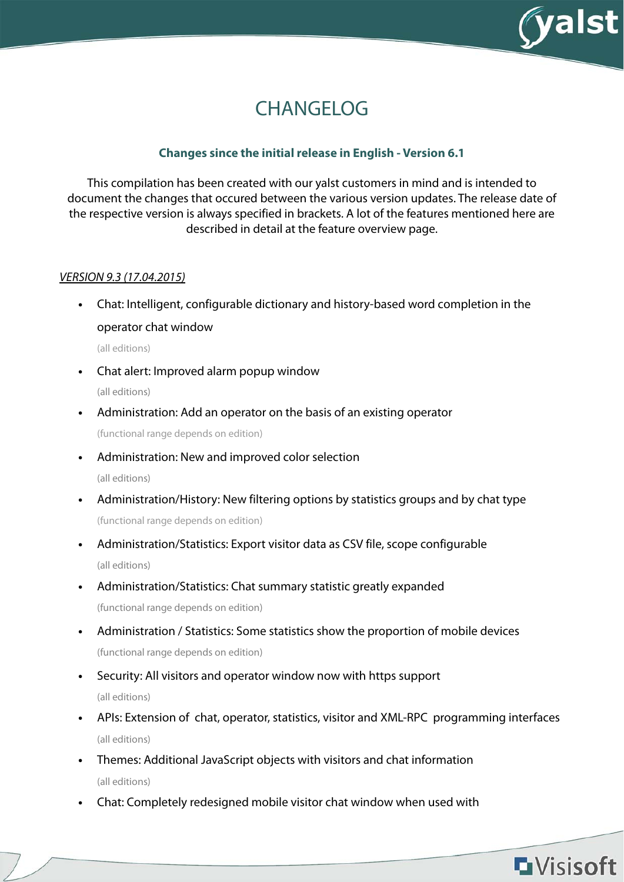

# CHANGELOG

## **Changes since the initial release in English - Version 6.1**

This compilation has been created with our yalst customers in mind and is intended to document the changes that occured between the various version updates. The release date of the respective version is always specified in brackets. A lot of the features mentioned here are described in detail at the feature overview page.

## VERSION 9.3 (17.04.2015)

**•** Chat: Intelligent, configurable dictionary and history-based word completion in the operator chat window

(all editions)

- **•** Chat alert: Improved alarm popup window (all editions)
- **•** Administration: Add an operator on the basis of an existing operator

(functional range depends on edition)

**•** Administration: New and improved color selection

- **•** Administration/History: New filtering options by statistics groups and by chat type (functional range depends on edition)
- **•** Administration/Statistics: Export visitor data as CSV file, scope configurable (all editions)
- **•** Administration/Statistics: Chat summary statistic greatly expanded (functional range depends on edition)
- **•** Administration / Statistics: Some statistics show the proportion of mobile devices (functional range depends on edition)
- **•** Security: All visitors and operator window now with https support (all editions)
- **•** APIs: Extension of chat, operator, statistics, visitor and XML-RPC programming interfaces (all editions)
- **•** Themes: Additional JavaScript objects with visitors and chat information (all editions)
- **•** Chat: Completely redesigned mobile visitor chat window when used with

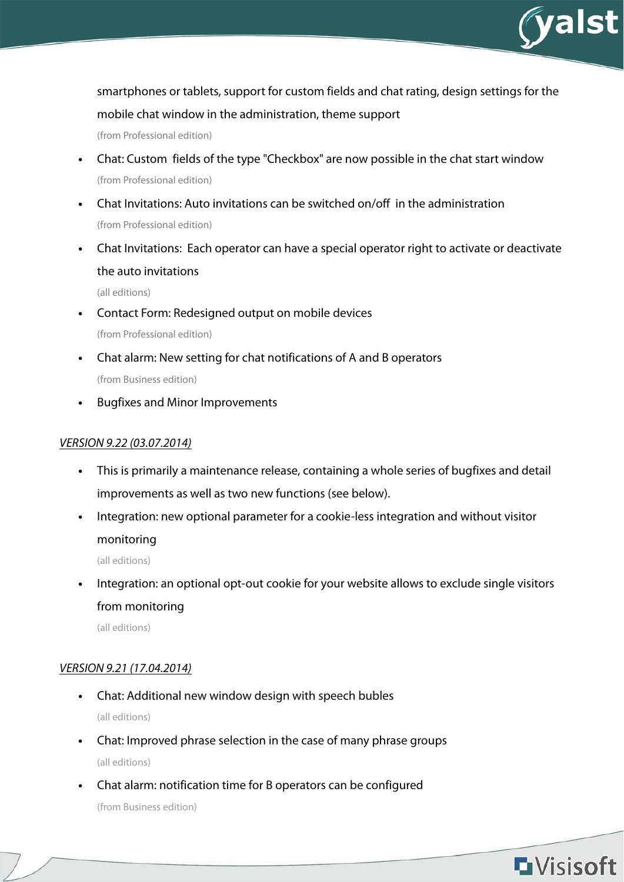

smartphones or tablets, support for custom fields and chat rating, design settings for the

mobile chat window in the administration, theme support

(from Professional edition)

- **•** Chat: Custom fields of the type "Checkbox" are now possible in the chat start window (from Professional edition)
- **•** Chat Invitations: Auto invitations can be switched on/off in the administration (from Professional edition)
- **•** Chat Invitations: Each operator can have a special operator right to activate or deactivate the auto invitations

(all editions)

- **•** Contact Form: Redesigned output on mobile devices (from Professional edition)
- **•** Chat alarm: New setting for chat notifications of A and B operators (from Business edition)
- **•** Bugfixes and Minor Improvements

## VERSION 9.22 (03.07.2014)

- **•** This is primarily a maintenance release, containing a whole series of bugfixes and detail improvements as well as two new functions (see below).
- **•** Integration: new optional parameter for a cookie-less integration and without visitor monitoring

(all editions)

**•** Integration: an optional opt-out cookie for your website allows to exclude single visitors from monitoring

(all editions)

## VERSION 9.21 (17.04.2014)

- **•** Chat: Additional new window design with speech bubles (all editions)
- **•** Chat: Improved phrase selection in the case of many phrase groups (all editions)
- **•** Chat alarm: notification time for B operators can be configured (from Business edition)

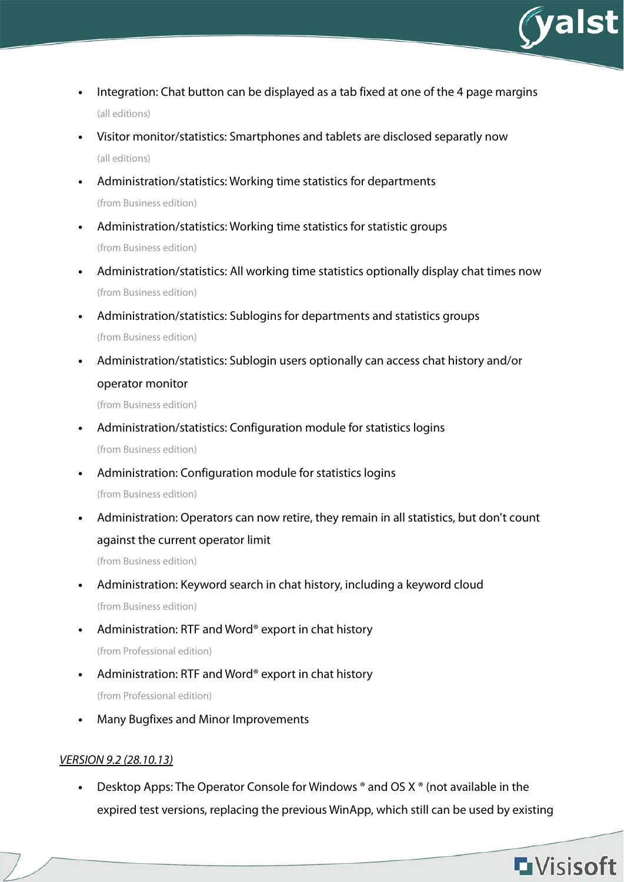

- **•** Integration: Chat button can be displayed as a tab fixed at one of the 4 page margins (all editions)
- **•** Visitor monitor/statistics: Smartphones and tablets are disclosed separatly now (all editions)
- **•** Administration/statistics: Working time statistics for departments (from Business edition)
- **•** Administration/statistics: Working time statistics for statistic groups (from Business edition)
- **•** Administration/statistics: All working time statistics optionally display chat times now (from Business edition)
- **•** Administration/statistics: Sublogins for departments and statistics groups (from Business edition)
- **•** Administration/statistics: Sublogin users optionally can access chat history and/or operator monitor

(from Business edition)

- **•** Administration/statistics: Configuration module for statistics logins (from Business edition)
- **•** Administration: Configuration module for statistics logins

(from Business edition)

**•** Administration: Operators can now retire, they remain in all statistics, but don't count against the current operator limit

(from Business edition)

- **•** Administration: Keyword search in chat history, including a keyword cloud (from Business edition)
- **•** Administration: RTF and Word® export in chat history (from Professional edition)
- **•** Administration: RTF and Word® export in chat history (from Professional edition)
- **•** Many Bugfixes and Minor Improvements

## VERSION 9.2 (28.10.13)

**•** Desktop Apps: The Operator Console for Windows ® and OS X ® (not available in the expired test versions, replacing the previous WinApp, which still can be used by existing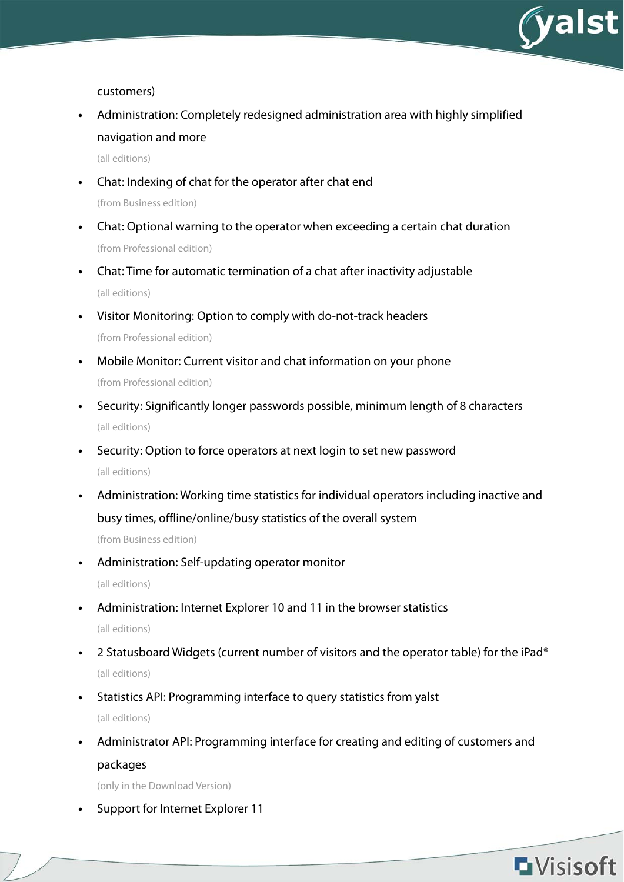

customers)

**•** Administration: Completely redesigned administration area with highly simplified navigation and more

(all editions)

**•** Chat: Indexing of chat for the operator after chat end

(from Business edition)

- **•** Chat: Optional warning to the operator when exceeding a certain chat duration (from Professional edition)
- **•** Chat: Time for automatic termination of a chat after inactivity adjustable (all editions)
- **•** Visitor Monitoring: Option to comply with do-not-track headers (from Professional edition)
- **•** Mobile Monitor: Current visitor and chat information on your phone (from Professional edition)
- **•** Security: Significantly longer passwords possible, minimum length of 8 characters (all editions)
- **•** Security: Option to force operators at next login to set new password (all editions)
- **•** Administration: Working time statistics for individual operators including inactive and busy times, offline/online/busy statistics of the overall system (from Business edition)
- **•** Administration: Self-updating operator monitor (all editions)
- **•** Administration: Internet Explorer 10 and 11 in the browser statistics (all editions)
- **•** 2 Statusboard Widgets (current number of visitors and the operator table) for the iPad® (all editions)
- **•** Statistics API: Programming interface to query statistics from yalst (all editions)
- **•** Administrator API: Programming interface for creating and editing of customers and packages

(only in the Download Version)

**•** Support for Internet Explorer 11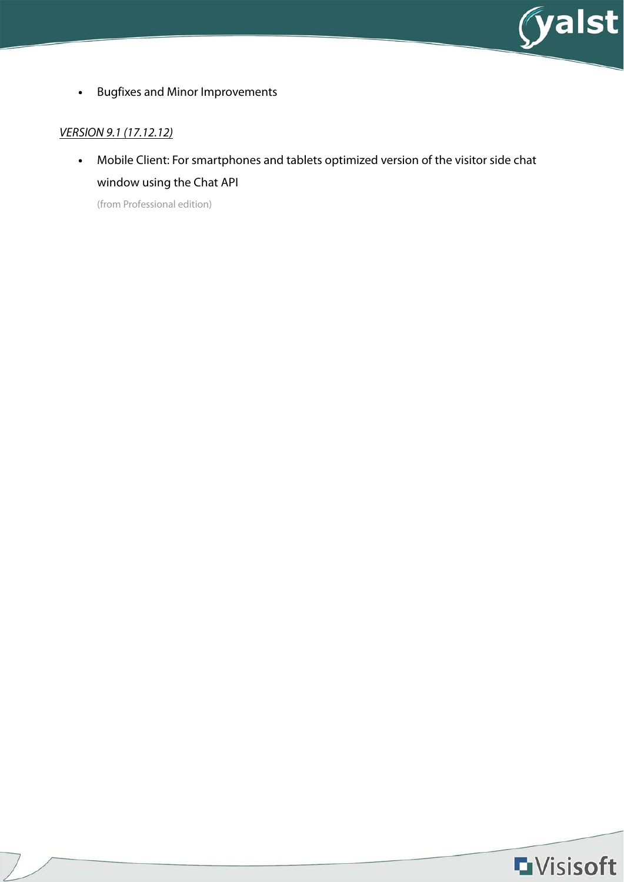

**•** Bugfixes and Minor Improvements

## VERSION 9.1 (17.12.12)

**•** Mobile Client: For smartphones and tablets optimized version of the visitor side chat window using the Chat API

(from Professional edition)

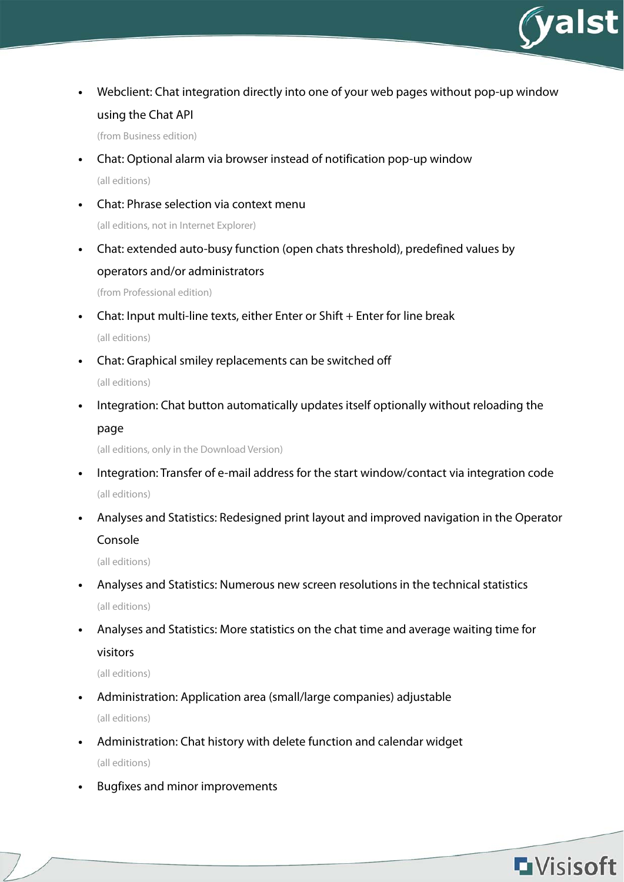

**•** Webclient: Chat integration directly into one of your web pages without pop-up window using the Chat API

(from Business edition)

- **•** Chat: Optional alarm via browser instead of notification pop-up window (all editions)
- **•** Chat: Phrase selection via context menu (all editions, not in Internet Explorer)
- **•** Chat: extended auto-busy function (open chats threshold), predefined values by operators and/or administrators

(from Professional edition)

- **•** Chat: Input multi-line texts, either Enter or Shift + Enter for line break (all editions)
- **•** Chat: Graphical smiley replacements can be switched off (all editions)
- **•** Integration: Chat button automatically updates itself optionally without reloading the page

(all editions, only in the Download Version)

- **•** Integration: Transfer of e-mail address for the start window/contact via integration code (all editions)
- **•** Analyses and Statistics: Redesigned print layout and improved navigation in the Operator Console

(all editions)

- **•** Analyses and Statistics: Numerous new screen resolutions in the technical statistics (all editions)
- **•** Analyses and Statistics: More statistics on the chat time and average waiting time for visitors

- **•** Administration: Application area (small/large companies) adjustable (all editions)
- **•** Administration: Chat history with delete function and calendar widget (all editions)
- **•** Bugfixes and minor improvements

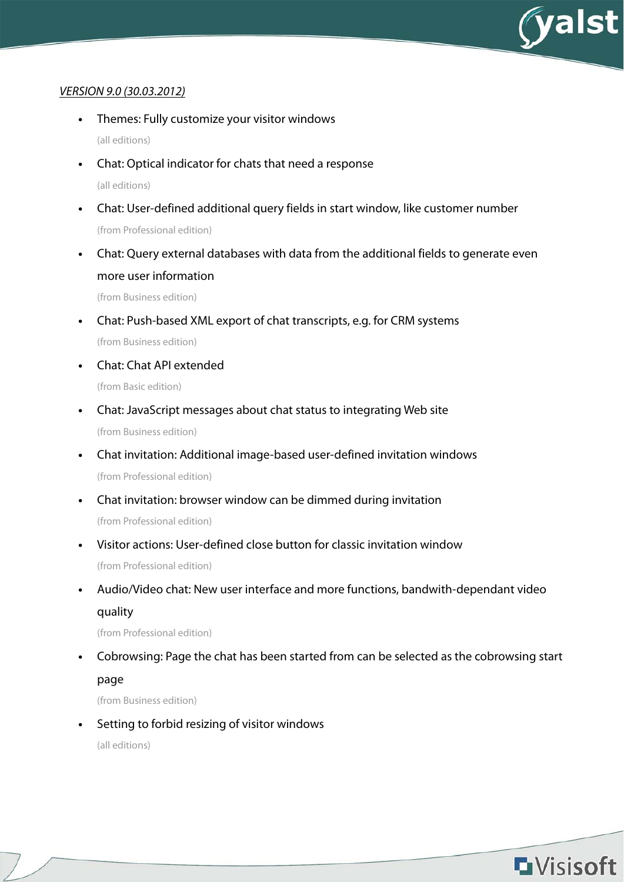

#### VERSION 9.0 (30.03.2012)

- **•** Themes: Fully customize your visitor windows (all editions)
- **•** Chat: Optical indicator for chats that need a response (all editions)
- **•** Chat: User-defined additional query fields in start window, like customer number (from Professional edition)
- **•** Chat: Query external databases with data from the additional fields to generate even more user information

(from Business edition)

- **•** Chat: Push-based XML export of chat transcripts, e.g. for CRM systems (from Business edition)
- **•** Chat: Chat API extended (from Basic edition)
- **•** Chat: JavaScript messages about chat status to integrating Web site (from Business edition)
- **•** Chat invitation: Additional image-based user-defined invitation windows (from Professional edition)
- **•** Chat invitation: browser window can be dimmed during invitation (from Professional edition)
- **•** Visitor actions: User-defined close button for classic invitation window (from Professional edition)
- **•** Audio/Video chat: New user interface and more functions, bandwith-dependant video quality

(from Professional edition)

**•** Cobrowsing: Page the chat has been started from can be selected as the cobrowsing start page

(from Business edition)

**•** Setting to forbid resizing of visitor windows

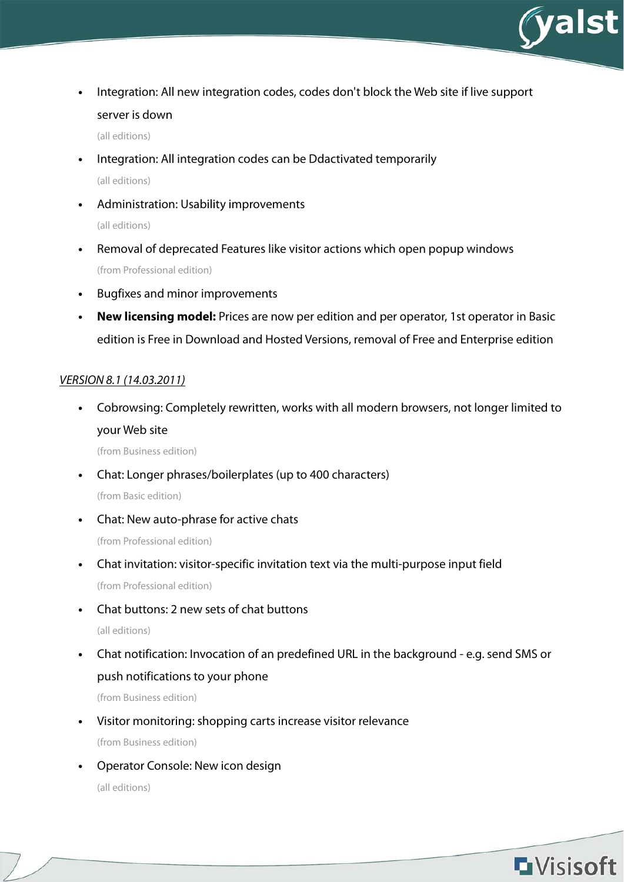

**•** Integration: All new integration codes, codes don't block the Web site if live support server is down

(all editions)

- **•** Integration: All integration codes can be Ddactivated temporarily (all editions)
- **•** Administration: Usability improvements (all editions)
- **•** Removal of deprecated Features like visitor actions which open popup windows (from Professional edition)
- **•** Bugfixes and minor improvements
- **New licensing model:** Prices are now per edition and per operator, 1st operator in Basic edition is Free in Download and Hosted Versions, removal of Free and Enterprise edition

#### VERSION 8.1 (14.03.2011)

**•** Cobrowsing: Completely rewritten, works with all modern browsers, not longer limited to your Web site

(from Business edition)

- **•** Chat: Longer phrases/boilerplates (up to 400 characters) (from Basic edition)
- **•** Chat: New auto-phrase for active chats (from Professional edition)
- **•** Chat invitation: visitor-specific invitation text via the multi-purpose input field (from Professional edition)
- **•** Chat buttons: 2 new sets of chat buttons

(all editions)

**•** Chat notification: Invocation of an predefined URL in the background - e.g. send SMS or push notifications to your phone

(from Business edition)

- **•** Visitor monitoring: shopping carts increase visitor relevance (from Business edition)
- **•** Operator Console: New icon design

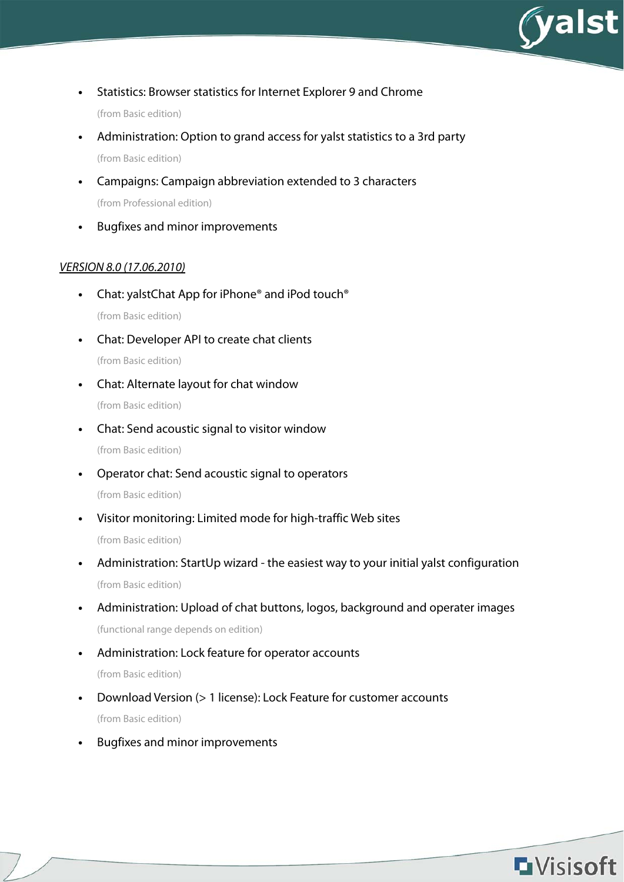

- **•** Statistics: Browser statistics for Internet Explorer 9 and Chrome (from Basic edition)
- **•** Administration: Option to grand access for yalst statistics to a 3rd party (from Basic edition)
- **•** Campaigns: Campaign abbreviation extended to 3 characters (from Professional edition)
- **•** Bugfixes and minor improvements

## VERSION 8.0 (17.06.2010)

- **•** Chat: yalstChat App for iPhone® and iPod touch® (from Basic edition)
- **•** Chat: Developer API to create chat clients (from Basic edition)
- **•** Chat: Alternate layout for chat window (from Basic edition)
- **•** Chat: Send acoustic signal to visitor window (from Basic edition)
- **•** Operator chat: Send acoustic signal to operators (from Basic edition)
- **•** Visitor monitoring: Limited mode for high-traffic Web sites (from Basic edition)
- **•** Administration: StartUp wizard the easiest way to your initial yalst configuration (from Basic edition)
- **•** Administration: Upload of chat buttons, logos, background and operater images (functional range depends on edition)
- **•** Administration: Lock feature for operator accounts (from Basic edition)
- **•** Download Version (> 1 license): Lock Feature for customer accounts (from Basic edition)
- **•** Bugfixes and minor improvements

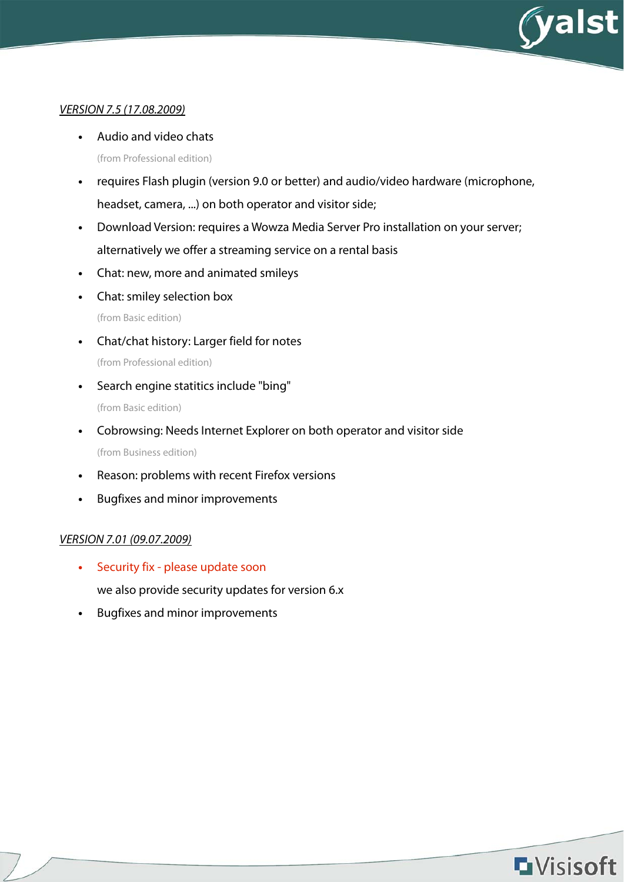

## VERSION 7.5 (17.08.2009)

- **•** Audio and video chats (from Professional edition)
- **•** requires Flash plugin (version 9.0 or better) and audio/video hardware (microphone, headset, camera, ...) on both operator and visitor side;
- **•** Download Version: requires a Wowza Media Server Pro installation on your server; alternatively we offer a streaming service on a rental basis
- **•** Chat: new, more and animated smileys
- **•** Chat: smiley selection box

(from Basic edition)

- **•** Chat/chat history: Larger field for notes (from Professional edition)
- **•** Search engine statitics include "bing" (from Basic edition)
- **•** Cobrowsing: Needs Internet Explorer on both operator and visitor side (from Business edition)
- **•** Reason: problems with recent Firefox versions
- **•** Bugfixes and minor improvements

## VERSION 7.01 (09.07.2009)

- **•** Security fix please update soon we also provide security updates for version 6.x
- **•** Bugfixes and minor improvements

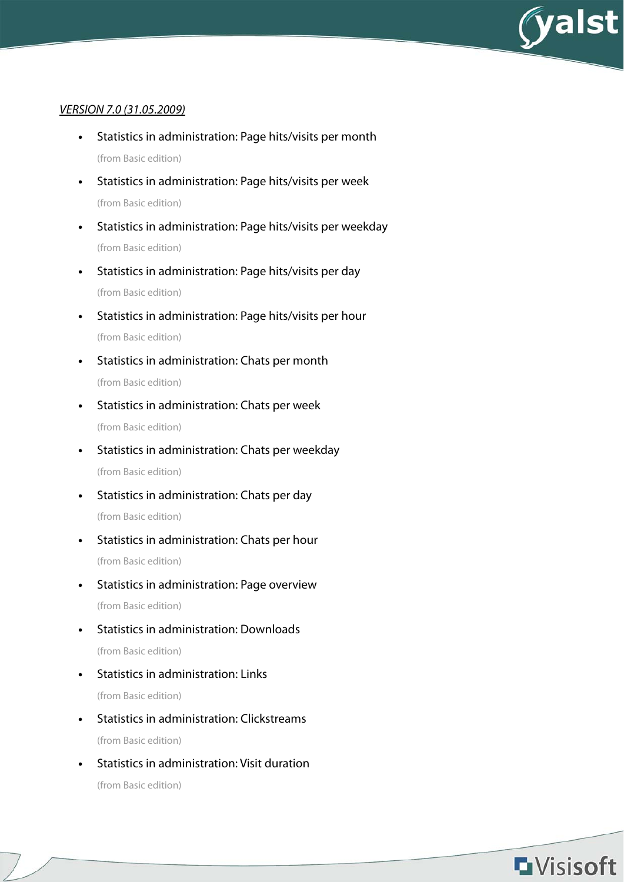

## VERSION 7.0 (31.05.2009)

- **•** Statistics in administration: Page hits/visits per month (from Basic edition)
- **•** Statistics in administration: Page hits/visits per week (from Basic edition)
- **•** Statistics in administration: Page hits/visits per weekday (from Basic edition)
- **•** Statistics in administration: Page hits/visits per day (from Basic edition)
- **•** Statistics in administration: Page hits/visits per hour (from Basic edition)
- **•** Statistics in administration: Chats per month (from Basic edition)
- **•** Statistics in administration: Chats per week (from Basic edition)
- **•** Statistics in administration: Chats per weekday (from Basic edition)
- **•** Statistics in administration: Chats per day (from Basic edition)
- **•** Statistics in administration: Chats per hour (from Basic edition)
- **•** Statistics in administration: Page overview (from Basic edition)
- **•** Statistics in administration: Downloads (from Basic edition)
- **•** Statistics in administration: Links (from Basic edition)
- **•** Statistics in administration: Clickstreams (from Basic edition)
- **•** Statistics in administration: Visit duration (from Basic edition)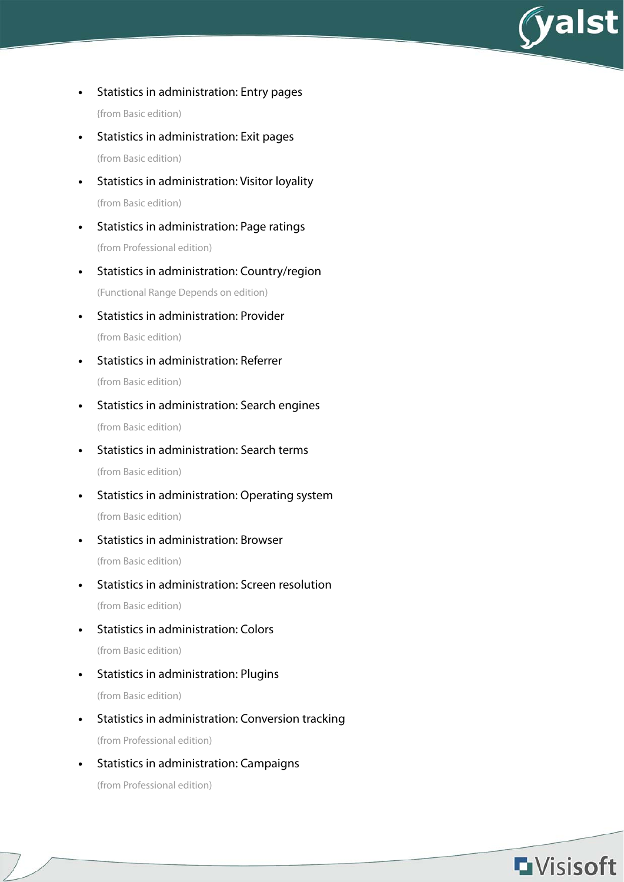

- **•** Statistics in administration: Entry pages {from Basic edition)
- **•** Statistics in administration: Exit pages (from Basic edition)
- **•** Statistics in administration: Visitor loyality (from Basic edition)
- **•** Statistics in administration: Page ratings (from Professional edition)
- **•** Statistics in administration: Country/region (Functional Range Depends on edition)
- **•** Statistics in administration: Provider (from Basic edition)
- **•** Statistics in administration: Referrer (from Basic edition)
- **•** Statistics in administration: Search engines (from Basic edition)
- **•** Statistics in administration: Search terms (from Basic edition)
- **•** Statistics in administration: Operating system (from Basic edition)
- **•** Statistics in administration: Browser (from Basic edition)
- **•** Statistics in administration: Screen resolution (from Basic edition)
- **•** Statistics in administration: Colors (from Basic edition)
- **•** Statistics in administration: Plugins (from Basic edition)
- **•** Statistics in administration: Conversion tracking (from Professional edition)
- **•** Statistics in administration: Campaigns (from Professional edition)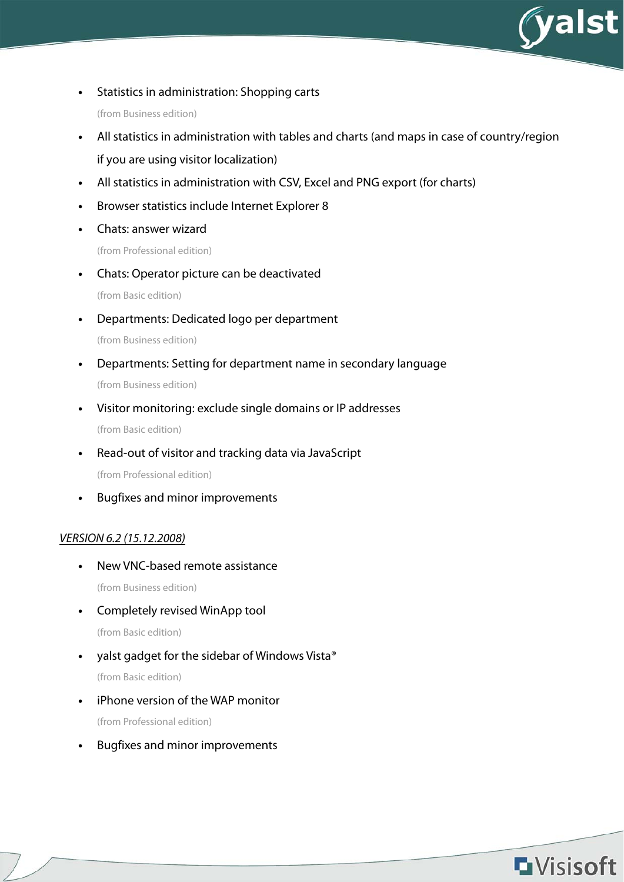

**•** Statistics in administration: Shopping carts

(from Business edition)

- **•** All statistics in administration with tables and charts (and maps in case of country/region if you are using visitor localization)
- **•** All statistics in administration with CSV, Excel and PNG export (for charts)
- **•** Browser statistics include Internet Explorer 8
- **•** Chats: answer wizard

(from Professional edition)

**•** Chats: Operator picture can be deactivated

(from Basic edition)

**•** Departments: Dedicated logo per department

(from Business edition)

- **•** Departments: Setting for department name in secondary language (from Business edition)
- **•** Visitor monitoring: exclude single domains or IP addresses (from Basic edition)
- **•** Read-out of visitor and tracking data via JavaScript (from Professional edition)

**•** Bugfixes and minor improvements

## VERSION 6.2 (15.12.2008)

- **•** New VNC-based remote assistance (from Business edition)
- **•** Completely revised WinApp tool

(from Basic edition)

- **•** yalst gadget for the sidebar of Windows Vista® (from Basic edition)
- **•** iPhone version of the WAP monitor (from Professional edition)
- **•** Bugfixes and minor improvements